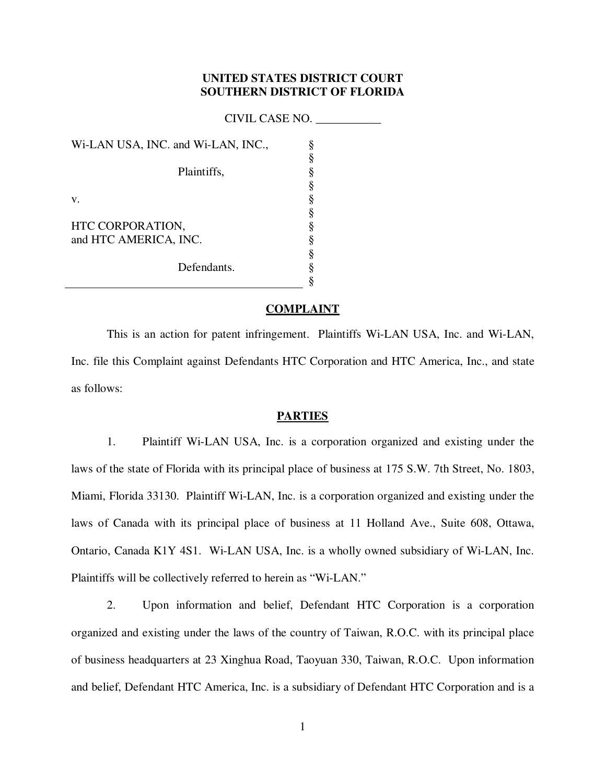# **UNITED STATES DISTRICT COURT SOUTHERN DISTRICT OF FLORIDA**

CIVIL CASE NO. \_\_\_\_\_\_\_\_\_\_\_

Wi-LAN USA, INC. and Wi-LAN, INC., Plaintiffs, v. HTC CORPORATION, and HTC AMERICA, INC. Defendants. § § § § § § § § § § §

## **COMPLAINT**

This is an action for patent infringement. Plaintiffs Wi-LAN USA, Inc. and Wi-LAN, Inc. file this Complaint against Defendants HTC Corporation and HTC America, Inc., and state as follows:

## **PARTIES**

1. Plaintiff Wi-LAN USA, Inc. is a corporation organized and existing under the laws of the state of Florida with its principal place of business at 175 S.W. 7th Street, No. 1803, Miami, Florida 33130. Plaintiff Wi-LAN, Inc. is a corporation organized and existing under the laws of Canada with its principal place of business at 11 Holland Ave., Suite 608, Ottawa, Ontario, Canada K1Y 4S1. Wi-LAN USA, Inc. is a wholly owned subsidiary of Wi-LAN, Inc. Plaintiffs will be collectively referred to herein as "Wi-LAN."

2. Upon information and belief, Defendant HTC Corporation is a corporation organized and existing under the laws of the country of Taiwan, R.O.C. with its principal place of business headquarters at 23 Xinghua Road, Taoyuan 330, Taiwan, R.O.C. Upon information and belief, Defendant HTC America, Inc. is a subsidiary of Defendant HTC Corporation and is a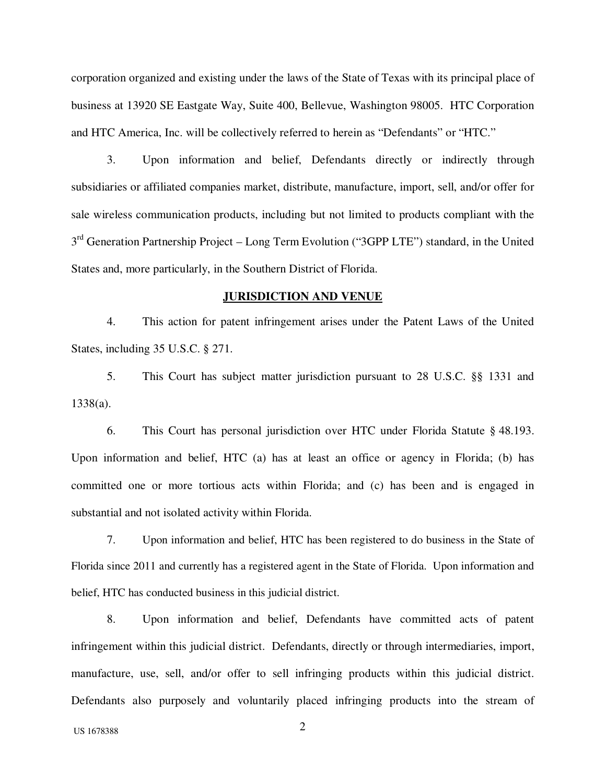corporation organized and existing under the laws of the State of Texas with its principal place of business at 13920 SE Eastgate Way, Suite 400, Bellevue, Washington 98005. HTC Corporation and HTC America, Inc. will be collectively referred to herein as "Defendants" or "HTC."

3. Upon information and belief, Defendants directly or indirectly through subsidiaries or affiliated companies market, distribute, manufacture, import, sell, and/or offer for sale wireless communication products, including but not limited to products compliant with the 3<sup>rd</sup> Generation Partnership Project – Long Term Evolution ("3GPP LTE") standard, in the United States and, more particularly, in the Southern District of Florida.

#### **JURISDICTION AND VENUE**

4. This action for patent infringement arises under the Patent Laws of the United States, including 35 U.S.C. § 271.

5. This Court has subject matter jurisdiction pursuant to 28 U.S.C. §§ 1331 and 1338(a).

6. This Court has personal jurisdiction over HTC under Florida Statute § 48.193. Upon information and belief, HTC (a) has at least an office or agency in Florida; (b) has committed one or more tortious acts within Florida; and (c) has been and is engaged in substantial and not isolated activity within Florida.

7. Upon information and belief, HTC has been registered to do business in the State of Florida since 2011 and currently has a registered agent in the State of Florida. Upon information and belief, HTC has conducted business in this judicial district.

8. Upon information and belief, Defendants have committed acts of patent infringement within this judicial district. Defendants, directly or through intermediaries, import, manufacture, use, sell, and/or offer to sell infringing products within this judicial district. Defendants also purposely and voluntarily placed infringing products into the stream of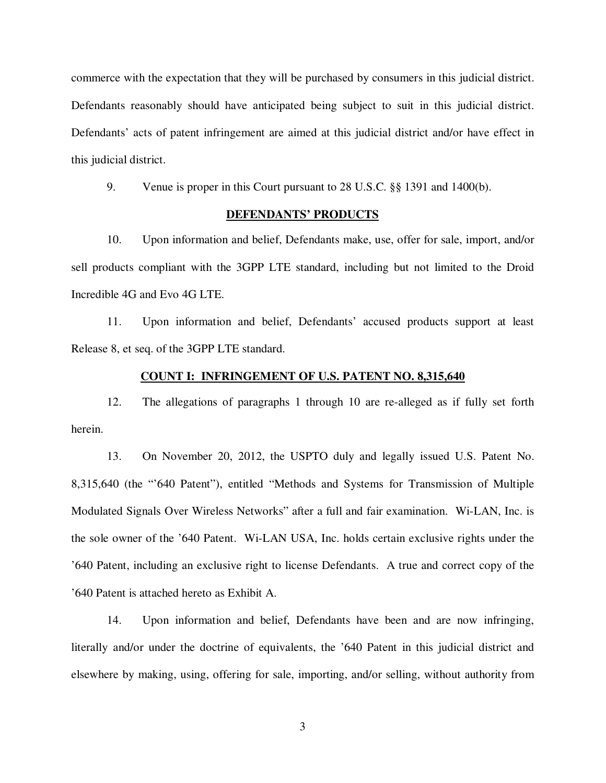commerce with the expectation that they will be purchased by consumers in this judicial district. Defendants reasonably should have anticipated being subject to suit in this judicial district. Defendants' acts of patent infringement are aimed at this judicial district and/or have effect in this judicial district.

9. Venue is proper in this Court pursuant to 28 U.S.C. §§ 1391 and 1400(b).

## **DEFENDANTS' PRODUCTS**

10. Upon information and belief, Defendants make, use, offer for sale, import, and/or sell products compliant with the 3GPP LTE standard, including but not limited to the Droid Incredible 4G and Evo 4G LTE.

11. Upon information and belief, Defendants' accused products support at least Release 8, et seq. of the 3GPP LTE standard.

# **COUNT I: INFRINGEMENT OF U.S. PATENT NO. 8,315,640**

12. The allegations of paragraphs 1 through 10 are re-alleged as if fully set forth herein.

13. On November 20, 2012, the USPTO duly and legally issued U.S. Patent No. 8,315,640 (the "'640 Patent"), entitled "Methods and Systems for Transmission of Multiple Modulated Signals Over Wireless Networks" after a full and fair examination. Wi-LAN, Inc. is the sole owner of the '640 Patent. Wi-LAN USA, Inc. holds certain exclusive rights under the '640 Patent, including an exclusive right to license Defendants. A true and correct copy of the '640 Patent is attached hereto as Exhibit A.

14. Upon information and belief, Defendants have been and are now infringing, literally and/or under the doctrine of equivalents, the '640 Patent in this judicial district and elsewhere by making, using, offering for sale, importing, and/or selling, without authority from

3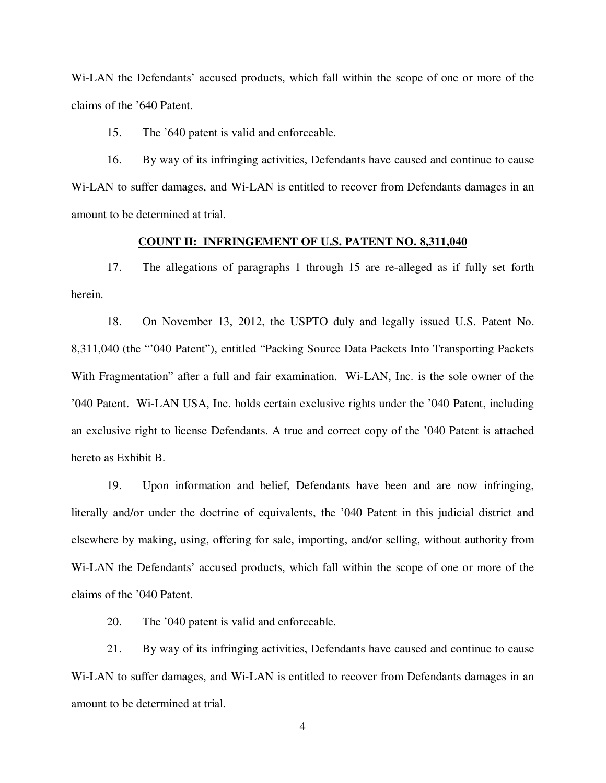Wi-LAN the Defendants' accused products, which fall within the scope of one or more of the claims of the '640 Patent.

15. The '640 patent is valid and enforceable.

16. By way of its infringing activities, Defendants have caused and continue to cause Wi-LAN to suffer damages, and Wi-LAN is entitled to recover from Defendants damages in an amount to be determined at trial.

## **COUNT II: INFRINGEMENT OF U.S. PATENT NO. 8,311,040**

17. The allegations of paragraphs 1 through 15 are re-alleged as if fully set forth herein.

18. On November 13, 2012, the USPTO duly and legally issued U.S. Patent No. 8,311,040 (the "'040 Patent"), entitled "Packing Source Data Packets Into Transporting Packets With Fragmentation" after a full and fair examination. Wi-LAN, Inc. is the sole owner of the '040 Patent. Wi-LAN USA, Inc. holds certain exclusive rights under the '040 Patent, including an exclusive right to license Defendants. A true and correct copy of the '040 Patent is attached hereto as Exhibit B.

19. Upon information and belief, Defendants have been and are now infringing, literally and/or under the doctrine of equivalents, the '040 Patent in this judicial district and elsewhere by making, using, offering for sale, importing, and/or selling, without authority from Wi-LAN the Defendants' accused products, which fall within the scope of one or more of the claims of the '040 Patent.

20. The '040 patent is valid and enforceable.

21. By way of its infringing activities, Defendants have caused and continue to cause Wi-LAN to suffer damages, and Wi-LAN is entitled to recover from Defendants damages in an amount to be determined at trial.

4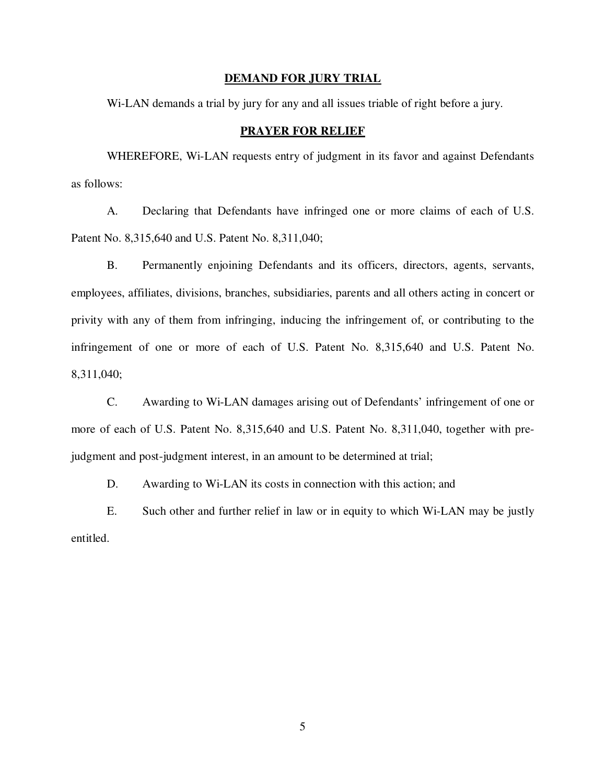#### **DEMAND FOR JURY TRIAL**

Wi-LAN demands a trial by jury for any and all issues triable of right before a jury.

#### **PRAYER FOR RELIEF**

WHEREFORE, Wi-LAN requests entry of judgment in its favor and against Defendants as follows:

A. Declaring that Defendants have infringed one or more claims of each of U.S. Patent No. 8,315,640 and U.S. Patent No. 8,311,040;

B. Permanently enjoining Defendants and its officers, directors, agents, servants, employees, affiliates, divisions, branches, subsidiaries, parents and all others acting in concert or privity with any of them from infringing, inducing the infringement of, or contributing to the infringement of one or more of each of U.S. Patent No. 8,315,640 and U.S. Patent No. 8,311,040;

C. Awarding to Wi-LAN damages arising out of Defendants' infringement of one or more of each of U.S. Patent No. 8,315,640 and U.S. Patent No. 8,311,040, together with prejudgment and post-judgment interest, in an amount to be determined at trial;

D. Awarding to Wi-LAN its costs in connection with this action; and

E. Such other and further relief in law or in equity to which Wi-LAN may be justly entitled.

5